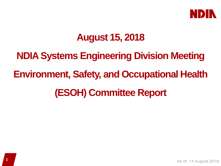

# **August 15, 2018**

**NDIA Systems Engineering Division Meeting Environment, Safety, and Occupational Health (ESOH) Committee Report**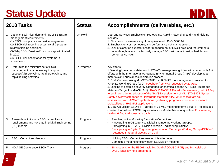# **Status Update**



| 2018 Tasks                                                                                                                                                                                                                                                                                                                      | <b>Status</b> | Accomplishments (deliverables, etc.)                                                                                                                                                                                                                                                                                                                                                                                                                                                                                                                                                                                                                                                                                                                                                                                                                                                                                                                                                                                                                                                  |
|---------------------------------------------------------------------------------------------------------------------------------------------------------------------------------------------------------------------------------------------------------------------------------------------------------------------------------|---------------|---------------------------------------------------------------------------------------------------------------------------------------------------------------------------------------------------------------------------------------------------------------------------------------------------------------------------------------------------------------------------------------------------------------------------------------------------------------------------------------------------------------------------------------------------------------------------------------------------------------------------------------------------------------------------------------------------------------------------------------------------------------------------------------------------------------------------------------------------------------------------------------------------------------------------------------------------------------------------------------------------------------------------------------------------------------------------------------|
| 1. Clarify critical misunderstandings of SE ESOH<br>management requirements:<br>(1) ESOH compliance and risk management<br>(2) ESOH risk reporting at technical & program<br>reviews/fielding decisions<br>(3) Why ESOH "residual" risk concept eliminated<br>in 2012<br>(4) ESOH risk acceptance for systems in<br>sustainment | On Hold       | DoD and Services Emphasis on Prototyping, Rapid Prototyping, and Rapid Fielding<br>includes:<br>1. Elimination or streamlining of compliance with DoDI 5000.02.<br>2. Emphasis on cost, schedule, and performance risk management.<br>3. Lack of clarity on expectations for management of ESOH risks and requirements,<br>even though failure to effectively manage ESOH will impact cost, schedule, and<br>performance risks.                                                                                                                                                                                                                                                                                                                                                                                                                                                                                                                                                                                                                                                       |
| Determine the minimum set of ESOH<br>2.<br>management data necessary to support<br>successful prototyping, rapid prototyping, and<br>rapid fielding activities.                                                                                                                                                                 | In Progress   | Key efforts:<br>1. Working Hazardous Materials (HAZMAT) management guidance in concert with AIA<br>efforts with the International Aerospace Environmental Group (IAEG) developing a<br>materials and substances declaration process.<br>2. Draft Guide on using MIL-STD-882E for HAZMAT risk management provided to<br>NAS411 Working Group (WG). Feedback from WG requested by 20 Aug.<br>3. Looking to establish severity categories for chemicals on the AIA-DoD Hazardous<br>Materials Target List (NAS411-1). AIA-DoD NAS411 Face-to-Face meeting held 23 July<br>to begin considering adoption of the NAVSEA assignment of MIL-STD-882E System<br>Safety severity categories to Hazardous Materials (HAZMAT) to facilitate risk<br>assessments of HAZMAT applications by allowing programs to focus on exposure<br>probabilities of HAZMAT applications.<br>4. DoD Acquisition ESOH IPT agreed at 31 May meeting to form a sub-IPT to look at a<br>construct for tailored ESOH requirements for Middle Tier of Acquisition. First meeting<br>held on 6 Aug to discuss approach. |
| Assess how to include ESOH compliance<br>3.<br>requirements and risk data in Digital Engineering<br>(DE) models                                                                                                                                                                                                                 | In Progress   | Reaching out to Modeling Simulation Committee.<br>$\bullet$<br>Participating in OSD/Service Digital Engineering Working Groups.<br>Participating in NDIA SE Division Mission Engineering Initiative.<br>Participating in Digital Engineering Information Exchange Working Group (DEIXWG)<br>- Attended Inaugural Meeting on 9 Jul.                                                                                                                                                                                                                                                                                                                                                                                                                                                                                                                                                                                                                                                                                                                                                    |
| 4. ESOH Committee Meetings                                                                                                                                                                                                                                                                                                      | In Progress   | Holding ESOH Committee meeting this afternoon.<br>$\bullet$<br>Committee meeting to follow each SE Division meeting.                                                                                                                                                                                                                                                                                                                                                                                                                                                                                                                                                                                                                                                                                                                                                                                                                                                                                                                                                                  |
| 5. NDIA SE Conference ESOH Track                                                                                                                                                                                                                                                                                                | In Progress   | 18 abstracts for the ESOH track. Mr. Gold of ODUSD(R&E) and Mr. Asiello of<br>OASD(EIE) key note presenters.                                                                                                                                                                                                                                                                                                                                                                                                                                                                                                                                                                                                                                                                                                                                                                                                                                                                                                                                                                          |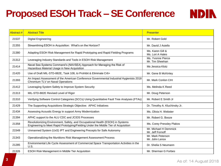# **Proposed ESOH Track – SE Conference**

| <b>NDIN</b> |  |
|-------------|--|

| Abstract# | <b>Abstract Title</b>                                                                                                                                                 | <b>Presenter</b>                          |
|-----------|-----------------------------------------------------------------------------------------------------------------------------------------------------------------------|-------------------------------------------|
| 21537     | <b>Digital Engineering</b>                                                                                                                                            | Mr. Robert Gold                           |
| 21355     | Streamlining ESOH in Acquisition: What's on the Horizon?                                                                                                              | Mr. David J Asiello                       |
| 21380     | Adapting ESOH Risk Management for Rapid Prototyping and Rapid Fielding Programs                                                                                       | Ms. Karen Gill &<br>Ms. Lori A Hales      |
| 21312     | Leveraging Industry Standards and Tools in ESOH Risk Management                                                                                                       | Ms. Yvonne Pierce<br>Mr. Tim Sheehan      |
| 21414     | Naval Sea Systems Command's (NAVSEA) Approach for Managing the Risk of<br>Hazardous Material Usage in New Acquisition                                                 | Ms Jessica Klotz                          |
| 21420     | Use of Draft MIL-STD-882E, Task 108, to Prohibit & Eliminate Cr6+                                                                                                     | Mr. Gene B McKinley                       |
| 21393     | An Impact Assessment of the American Conference Governmental Industrial Hygienists 2018<br>Chromium TLV on Naval Operations                                           | Mr. Mark Conlon CIH                       |
| 21412     | Leveraging System Safety to Improve System Security                                                                                                                   | Ms. Melinda K Reed                        |
| 21313     | MIL-STD-882E Revised Level of Rigor                                                                                                                                   | Mr. Doug Peterson                         |
| 21310     | Verifying Software Control Categories (SCCs) Using Quantitative Fault Tree Analyses (FTAs)                                                                            | Mr. Robert E Smith Jr                     |
| 21429     | The Supporting Acquisitions Strategic Objective: APHC Initiatives                                                                                                     | Dr. Timothy A. Kluchinsky Jr.             |
| 21434     | Assessing Acoustic Energy in support Army Modernization                                                                                                               | Ms. Olivia H. Webster                     |
| 21394     | APHC support to the ALU CDC and JCIDS Processes                                                                                                                       | Mr. Robert G. Booze                       |
| 21358     | Revolutionizing Environment, Safety, and Occupational Health (ESOH) in Systems<br>Engineering to Meet Rapid Prototyping/Fielding Under the Middle Tier of Acquisition | Ms. Corey Pressley Plakos                 |
| 21549     | Unmanned System (UxS) IPT and Engineering Precepts for Safe Autonomy                                                                                                  | Mr. Michael H Demmick<br>Mr. Jeff Fornoff |
| 21343     | Operationalizing the Munitions Risk Management Assessment Process                                                                                                     | Mr. Mark Peterson<br>Mr. John Lenox       |
| 21285     | Environmental Life Cycle Assessment of Commercial Space Transportation Activities in the<br>U.S.                                                                      | Dr. Shelia S Neumann                      |
| 21326     | <b>ESOH Risk Management in Middle Tier Acquisition</b>                                                                                                                | Mr. Sherman G Forbes                      |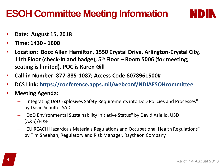# **ESOH Committee Meeting Information**

**DIN** 

- **Date: August 15, 2018**
- **Time: 1430 - 1600**
- **Location: Booz Allen Hamilton, 1550 Crystal Drive, Arlington-Crystal City, 11th Floor (check-in and badge), 5th Floor – Room 5006 (for meeting; seating is limited), POC is Karen Gill**
- **Call-in Number: 877-885-1087; Access Code 8078961500#**
- **DCS Link: https://conference.apps.mil/webconf/NDIAESOHcommittee**
- **Meeting Agenda:** 
	- "Integrating DoD Explosives Safety Requirements into DoD Policies and Processes" by David Schulte, SAIC
	- "DoD Environmental Sustainability Initiative Status" by David Asiello, USD (A&S)/EI&E
	- "EU REACH Hazardous Materials Regulations and Occupational Health Regulations" by Tim Sheehan, Regulatory and Risk Manager, Raytheon Company